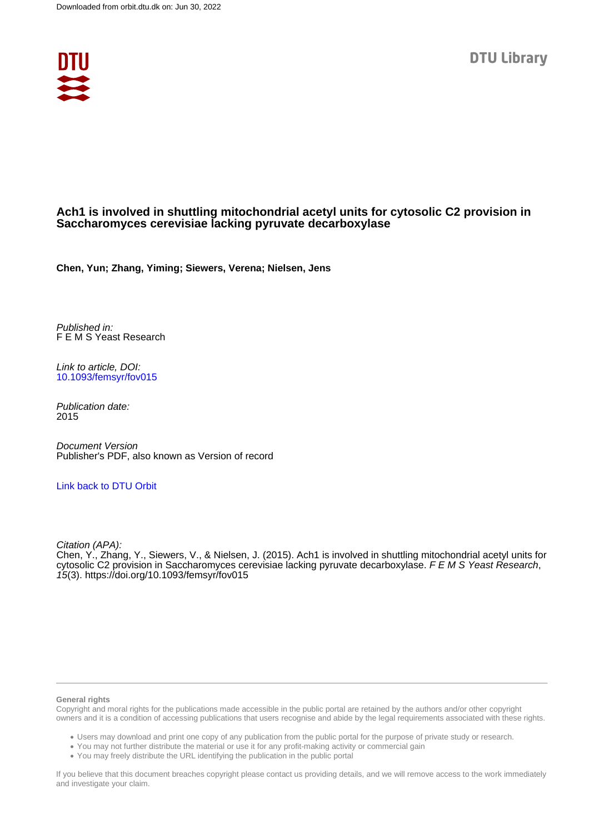

### **Ach1 is involved in shuttling mitochondrial acetyl units for cytosolic C2 provision in Saccharomyces cerevisiae lacking pyruvate decarboxylase**

**Chen, Yun; Zhang, Yiming; Siewers, Verena; Nielsen, Jens**

Published in: F E M S Yeast Research

Link to article, DOI: [10.1093/femsyr/fov015](https://doi.org/10.1093/femsyr/fov015)

Publication date: 2015

Document Version Publisher's PDF, also known as Version of record

#### [Link back to DTU Orbit](https://orbit.dtu.dk/en/publications/333f3c8d-05c8-44a7-8d4f-2036c7cf7efd)

Citation (APA):

Chen, Y., Zhang, Y., Siewers, V., & Nielsen, J. (2015). Ach1 is involved in shuttling mitochondrial acetyl units for cytosolic C2 provision in Saccharomyces cerevisiae lacking pyruvate decarboxylase. F E M S Yeast Research, 15(3). <https://doi.org/10.1093/femsyr/fov015>

#### **General rights**

Copyright and moral rights for the publications made accessible in the public portal are retained by the authors and/or other copyright owners and it is a condition of accessing publications that users recognise and abide by the legal requirements associated with these rights.

Users may download and print one copy of any publication from the public portal for the purpose of private study or research.

- You may not further distribute the material or use it for any profit-making activity or commercial gain
- You may freely distribute the URL identifying the publication in the public portal

If you believe that this document breaches copyright please contact us providing details, and we will remove access to the work immediately and investigate your claim.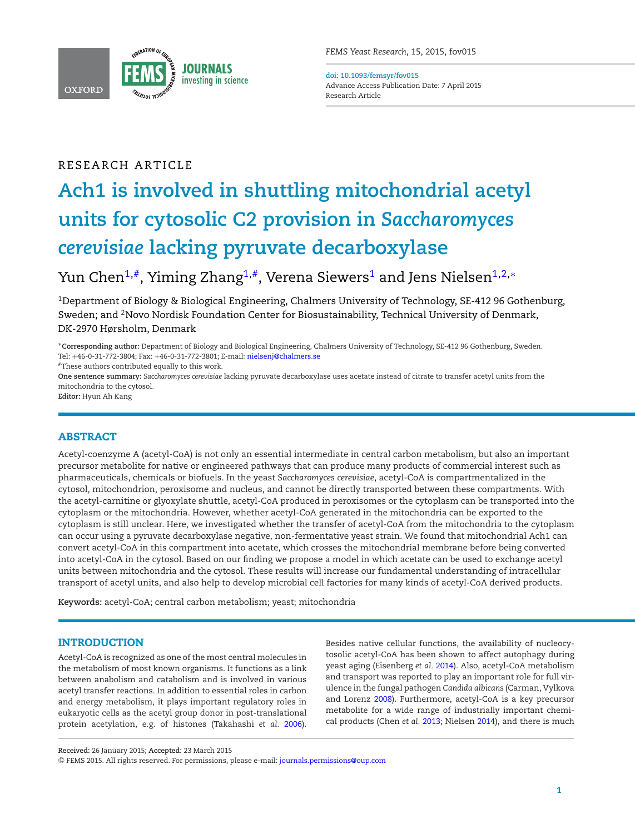

**doi: 10.1093/femsyr/fov015** Advance Access Publication Date: 7 April 2015 Research Article

## RESEARCH ARTICLE

# **Ach1 is involved in shuttling mitochondrial acetyl units for cytosolic C2 provision in** *Saccharomyces cerevisiae* **lacking pyruvate decarboxylase**

# Yun Chen<sup>[1,](#page-1-0)#</sup>, Yiming Zhang<sup>1,#</sup>, Verena Siewers<sup>1</sup> and Jens Nielsen<sup>1,[2,](#page-1-2)\*</sup>

<span id="page-1-2"></span><span id="page-1-0"></span><sup>1</sup>Department of Biology & Biological Engineering, Chalmers University of Technology, SE-412 96 Gothenburg, Sweden; and <sup>2</sup>Novo Nordisk Foundation Center for Biosustainability, Technical University of Denmark, DK-2970 Hørsholm, Denmark

<span id="page-1-3"></span>∗**Corresponding author:** Department of Biology and Biological Engineering, Chalmers University of Technology, SE-412 96 Gothenburg, Sweden. Tel: +46-0-31-772-3804; Fax: +46-0-31-772-3801; E-mail: [nielsenj@chalmers.se](mailto:nielsenj@chalmers.se)

<span id="page-1-1"></span>#These authors contributed equally to this work.

**One sentence summary:** *Saccharomyces cerevisiae* lacking pyruvate decarboxylase uses acetate instead of citrate to transfer acetyl units from the mitochondria to the cytosol.

**Editor:** Hyun Ah Kang

#### **ABSTRACT**

Acetyl-coenzyme A (acetyl-CoA) is not only an essential intermediate in central carbon metabolism, but also an important precursor metabolite for native or engineered pathways that can produce many products of commercial interest such as pharmaceuticals, chemicals or biofuels. In the yeast *Saccharomyces cerevisiae*, acetyl-CoA is compartmentalized in the cytosol, mitochondrion, peroxisome and nucleus, and cannot be directly transported between these compartments. With the acetyl-carnitine or glyoxylate shuttle, acetyl-CoA produced in peroxisomes or the cytoplasm can be transported into the cytoplasm or the mitochondria. However, whether acetyl-CoA generated in the mitochondria can be exported to the cytoplasm is still unclear. Here, we investigated whether the transfer of acetyl-CoA from the mitochondria to the cytoplasm can occur using a pyruvate decarboxylase negative, non-fermentative yeast strain. We found that mitochondrial Ach1 can convert acetyl-CoA in this compartment into acetate, which crosses the mitochondrial membrane before being converted into acetyl-CoA in the cytosol. Based on our finding we propose a model in which acetate can be used to exchange acetyl units between mitochondria and the cytosol. These results will increase our fundamental understanding of intracellular transport of acetyl units, and also help to develop microbial cell factories for many kinds of acetyl-CoA derived products.

**Keywords:** acetyl-CoA; central carbon metabolism; yeast; mitochondria

#### **INTRODUCTION**

Acetyl-CoA is recognized as one of the most central molecules in the metabolism of most known organisms. It functions as a link between anabolism and catabolism and is involved in various acetyl transfer reactions. In addition to essential roles in carbon and energy metabolism, it plays important regulatory roles in eukaryotic cells as the acetyl group donor in post-translational protein acetylation, e.g. of histones (Takahashi *et al.* [2006\)](#page-8-0).

Besides native cellular functions, the availability of nucleocytosolic acetyl-CoA has been shown to affect autophagy during yeast aging (Eisenberg *et al.* [2014\)](#page-8-1). Also, acetyl-CoA metabolism and transport was reported to play an important role for full virulence in the fungal pathogen *Candida albicans* (Carman, Vylkova and Lorenz [2008\)](#page-7-0). Furthermore, acetyl-CoA is a key precursor metabolite for a wide range of industrially important chemical products (Chen *et al.* [2013;](#page-7-1) Nielsen [2014\)](#page-8-2), and there is much

**Received:** 26 January 2015; **Accepted:** 23 March 2015

<sup>C</sup> FEMS 2015. All rights reserved. For permissions, please e-mail: [journals.permissions@oup.com](mailto:journals.permissions@oup.com)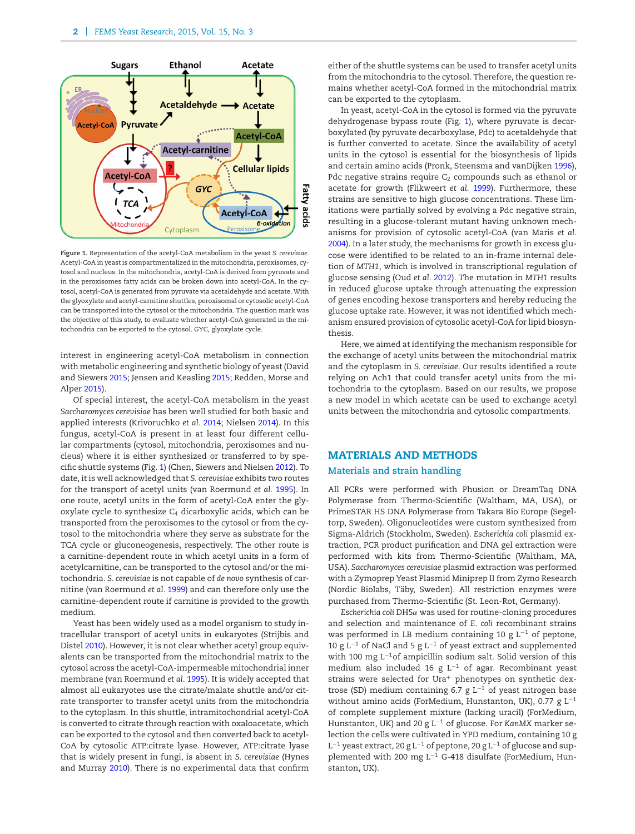<span id="page-2-0"></span>

**Figure 1.** Representation of the acetyl-CoA metabolism in the yeast *S. cerevisiae*. Acetyl-CoA in yeast is compartmentalized in the mitochondria, peroxisomes, cytosol and nucleus. In the mitochondria, acetyl-CoA is derived from pyruvate and in the peroxisomes fatty acids can be broken down into acetyl-CoA. In the cytosol, acetyl-CoA is generated from pyruvate via acetaldehyde and acetate. With the glyoxylate and acetyl-carnitine shuttles, peroxisomal or cytosolic acetyl-CoA can be transported into the cytosol or the mitochondria. The question mark was the objective of this study, to evaluate whether acetyl-CoA generated in the mitochondria can be exported to the cytosol. GYC, glyoxylate cycle.

interest in engineering acetyl-CoA metabolism in connection with metabolic engineering and synthetic biology of yeast (David and Siewers [2015;](#page-8-3) Jensen and Keasling [2015;](#page-8-4) Redden, Morse and Alper [2015\)](#page-8-5).

Of special interest, the acetyl-CoA metabolism in the yeast *Saccharomyces cerevisiae* has been well studied for both basic and applied interests (Krivoruchko *et al.* [2014;](#page-8-6) Nielsen [2014\)](#page-8-2). In this fungus, acetyl-CoA is present in at least four different cellular compartments (cytosol, mitochondria, peroxisomes and nucleus) where it is either synthesized or transferred to by specific shuttle systems (Fig. [1\)](#page-2-0) (Chen, Siewers and Nielsen [2012\)](#page-7-2). To date, it is well acknowledged that *S. cerevisiae* exhibits two routes for the transport of acetyl units (van Roermund *et al.* [1995\)](#page-8-7). In one route, acetyl units in the form of acetyl-CoA enter the glyoxylate cycle to synthesize  $C_4$  dicarboxylic acids, which can be transported from the peroxisomes to the cytosol or from the cytosol to the mitochondria where they serve as substrate for the TCA cycle or gluconeogenesis, respectively. The other route is a carnitine-dependent route in which acetyl units in a form of acetylcarnitine, can be transported to the cytosol and/or the mitochondria. *S. cerevisiae* is not capable of *de novo* synthesis of carnitine (van Roermund *et al.* [1999\)](#page-8-8) and can therefore only use the carnitine-dependent route if carnitine is provided to the growth medium.

Yeast has been widely used as a model organism to study intracellular transport of acetyl units in eukaryotes (Strijbis and Distel [2010\)](#page-8-9). However, it is not clear whether acetyl group equivalents can be transported from the mitochondrial matrix to the cytosol across the acetyl-CoA-impermeable mitochondrial inner membrane (van Roermund *et al.* [1995\)](#page-8-7). It is widely accepted that almost all eukaryotes use the citrate/malate shuttle and/or citrate transporter to transfer acetyl units from the mitochondria to the cytoplasm. In this shuttle, intramitochondrial acetyl-CoA is converted to citrate through reaction with oxaloacetate, which can be exported to the cytosol and then converted back to acetyl-CoA by cytosolic ATP:citrate lyase. However, ATP:citrate lyase that is widely present in fungi, is absent in *S. cerevisiae* (Hynes and Murray [2010\)](#page-8-10). There is no experimental data that confirm

either of the shuttle systems can be used to transfer acetyl units from the mitochondria to the cytosol. Therefore, the question remains whether acetyl-CoA formed in the mitochondrial matrix can be exported to the cytoplasm.

In yeast, acetyl-CoA in the cytosol is formed via the pyruvate dehydrogenase bypass route (Fig. [1\)](#page-2-0), where pyruvate is decarboxylated (by pyruvate decarboxylase, Pdc) to acetaldehyde that is further converted to acetate. Since the availability of acetyl units in the cytosol is essential for the biosynthesis of lipids and certain amino acids (Pronk, Steensma and vanDijken [1996\)](#page-8-11), Pdc negative strains require  $C_2$  compounds such as ethanol or acetate for growth (Flikweert *et al.* [1999\)](#page-8-12). Furthermore, these strains are sensitive to high glucose concentrations. These limitations were partially solved by evolving a Pdc negative strain, resulting in a glucose-tolerant mutant having unknown mechanisms for provision of cytosolic acetyl-CoA (van Maris *et al.* [2004\)](#page-8-13). In a later study, the mechanisms for growth in excess glucose were identified to be related to an in-frame internal deletion of *MTH1*, which is involved in transcriptional regulation of glucose sensing (Oud *et al.* [2012\)](#page-8-14). The mutation in *MTH1* results in reduced glucose uptake through attenuating the expression of genes encoding hexose transporters and hereby reducing the glucose uptake rate. However, it was not identified which mechanism ensured provision of cytosolic acetyl-CoA for lipid biosynthesis.

Here, we aimed at identifying the mechanism responsible for the exchange of acetyl units between the mitochondrial matrix and the cytoplasm in *S. cerevisiae*. Our results identified a route relying on Ach1 that could transfer acetyl units from the mitochondria to the cytoplasm. Based on our results, we propose a new model in which acetate can be used to exchange acetyl units between the mitochondria and cytosolic compartments[.](#page-3-0)

#### **MATERIALS AND METHODS**

#### **Materials and strain handling**

All PCRs were performed with Phusion or DreamTaq DNA Polymerase from Thermo-Scientific (Waltham, MA, USA), or PrimeSTAR HS DNA Polymerase from Takara Bio Europe (Segeltorp, Sweden). Oligonucleotides were custom synthesized from Sigma-Aldrich (Stockholm, Sweden). *Escherichia coli* plasmid extraction, PCR product purification and DNA gel extraction were performed with kits from Thermo-Scientific (Waltham, MA, USA). *Saccharomyces cerevisiae* plasmid extraction was performed with a Zymoprep Yeast Plasmid Miniprep II from Zymo Research (Nordic Biolabs, Täby, Sweden). All restriction enzymes were purchased from Thermo-Scientific (St. Leon-Rot, Germany).

*Escherichia coli* DH5α was used for routine-cloning procedures and selection and maintenance of *E. coli* recombinant strains was performed in LB medium containing 10 g  $L^{-1}$  of peptone, 10 g L<sup>-1</sup> of NaCl and 5 g L<sup>-1</sup> of yeast extract and supplemented with 100 mg L<sup>-1</sup>of ampicillin sodium salt. Solid version of this medium also included 16 g L−<sup>1</sup> of agar. Recombinant yeast strains were selected for Ura<sup>+</sup> phenotypes on synthetic dextrose (SD) medium containing 6.7 g L−<sup>1</sup> of yeast nitrogen base without amino acids (ForMedium, Hunstanton, UK), 0.77 g L<sup>-1</sup> of complete supplement mixture (lacking uracil) (ForMedium, Hunstanton, UK) and 20 g L−<sup>1</sup> of glucose. For *KanMX* marker selection the cells were cultivated in YPD medium, containing 10 g L−<sup>1</sup> yeast extract, 20 g L−<sup>1</sup> of peptone, 20 g L−<sup>1</sup> of glucose and supplemented with 200 mg L<sup>-1</sup> G-418 disulfate (ForMedium, Hunstanton, UK).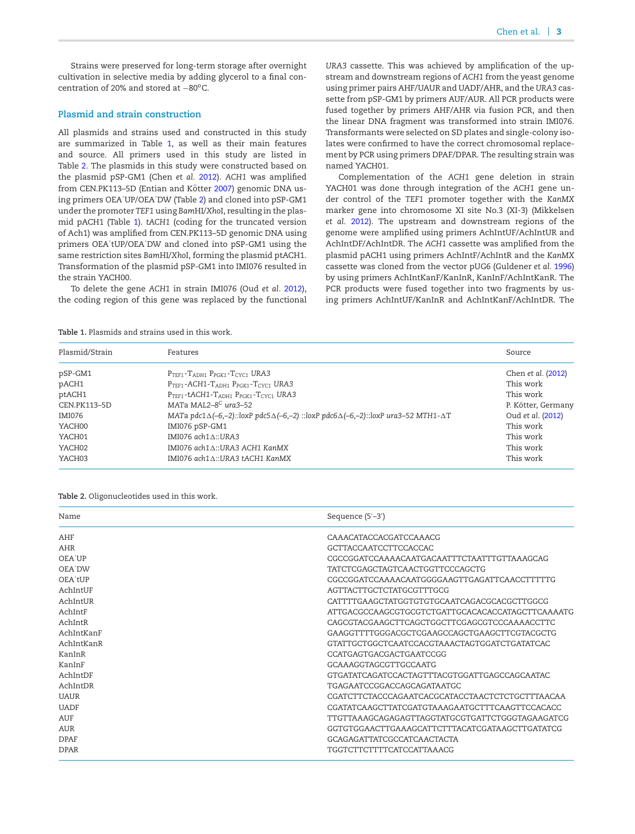Strains were preserved for long-term storage after overnight cultivation in selective media by adding glycerol to a final concentration of 20% and stored at −80°C.

#### **Plasmid and strain construction**

All plasmids and strains used and constructed in this study are summarized in Table [1,](#page-3-0) as well as their main features and source. All primers used in this study are listed in Table [2.](#page-3-1) The plasmids in this study were constructed based on the plasmid pSP-GM1 (Chen *et al.* [2012\)](#page-7-2). *ACH1* was amplified from CEN.PK113–5D (Entian and Kötter [2007\)](#page-8-15) genomic DNA using primers OEA˙UP/OEA˙DW (Table [2\)](#page-3-1) and cloned into pSP-GM1 under the promoter *TEF1* using *Bam*HI/*Xho*I, resulting in the plasmid pACH1 (Table [1\)](#page-3-0). *tACH1* (coding for the truncated version of Ach1) was amplified from CEN.PK113–5D genomic DNA using primers OEA˙tUP/OEA˙DW and cloned into pSP-GM1 using the same restriction sites *Bam*HI/*Xho*I, forming the plasmid ptACH1. Transformation of the plasmid pSP-GM1 into IMI076 resulted in the strain YACH00.

To delete the gene *ACH1* in strain IMI076 (Oud *et al.* [2012\)](#page-8-14), the coding region of this gene was replaced by the functional *URA3* cassette. This was achieved by amplification of the upstream and downstream regions of *ACH1* from the yeast genome using primer pairs AHF/UAUR and UADF/AHR, and the *URA3* cassette from pSP-GM1 by primers AUF/AUR. All PCR products were fused together by primers AHF/AHR via fusion PCR, and then the linear DNA fragment was transformed into strain IMI076. Transformants were selected on SD plates and single-colony isolates were confirmed to have the correct chromosomal replacement by PCR using primers DPAF/DPAR. The resulting strain was named YACH01.

Complementation of the *ACH1* gene deletion in strain YACH01 was done through integration of the *ACH1* gene under control of the *TEF1* promoter together with the *KanMX* marker gene into chromosome XI site No.3 (XI-3) (Mikkelsen *et al.* [2012\)](#page-8-16). The upstream and downstream regions of the genome were amplified using primers AchIntUF/AchIntUR and AchIntDF/AchIntDR. The *ACH1* cassette was amplified from the plasmid pACH1 using primers AchIntF/AchIntR and the *KanMX* cassette was cloned from the vector pUG6 (Guldener *et al.* [1996\)](#page-8-17) by using primers AchIntKanF/KanInR, KanInF/AchIntKanR. The PCR products were fused together into two fragments by using primers AchIntUF/KanInR and AchIntKanF/AchIntDR. The

<span id="page-3-0"></span>**Table 1.** Plasmids and strains used in this work.

| Plasmid/Strain | Features                                                                                                          | Source             |
|----------------|-------------------------------------------------------------------------------------------------------------------|--------------------|
| pSP-GM1        | $P_{TEF1}$ - $T_{ADH1}$ $P_{PGK1}$ - $T_{CYC1}$ URA3                                                              | Chen et al. (2012) |
| pACH1          | PTEF1-ACH1-TADH1 PPGK1-TCYC1 URA3                                                                                 | This work          |
| ptACH1         | $P_{TFF1}$ -tACH1- $T_{ADH1}$ $P_{PCK1}$ - $T_{CYC1}$ URA3                                                        | This work          |
| CEN.PK113-5D   | MATa MAL2-8 <sup>C</sup> ura3-52                                                                                  | P. Kötter, Germany |
| <b>IMI076</b>  | MATa pdc1 $\Delta(-6,-2)$ ::loxP pdc5 $\Delta(-6,-2)$ ::loxP pdc6 $\Delta(-6,-2)$ ::loxP ura3-52 MTH1- $\Delta$ T | Oud et al. (2012)  |
| YACH00         | IMI076 pSP-GM1                                                                                                    | This work          |
| YACH01         | IMI076 ach1A::URA3                                                                                                | This work          |
| YACH02         | IMI076 ach1△::URA3 ACH1 KanMX                                                                                     | This work          |
| YACH03         | IMI076 ach1△::URA3 tACH1 KanMX                                                                                    | This work          |

<span id="page-3-1"></span>**Table 2.** Oligonucleotides used in this work.

| Name        | Sequence $(5'-3')$                                 |
|-------------|----------------------------------------------------|
| AHF         | CAAACATACCACGATCCAAACG                             |
| AHR         | GCTTACCAATCCTTCCACCAC                              |
| OEA UP      | CGCCGGATCCAAAACAATGACAATTTCTAATTTGTTAAAGCAG        |
| OEA DW      | TATCTCGAGCTAGTCAACTGGTTCCCAGCTG                    |
| OEA tUP     | CGCCGGATCCAAAACAATGGGGAAGTTGAGATTCAACCTTTTTG       |
| AchIntIJF   | AGTTACTTGCTCTATGCGTTTGCG                           |
| AchIntUR    | CATTTTGAAGCTATGGTGTGTGCAATCAGACGCACGCTTGGCG        |
| AchIntF     | ATTGACGCCAAGCGTGCGTCTGATTGCACACACCATAGCTTCAAAATG   |
| AchIntR     | CAGCGTACGAAGCTTCAGCTGGCTTCGAGCGTCCCAAAACCTTC       |
| AchIntKanF  | GAAGGTTTTGGGACGCTCGAAGCCAGCTGAAGCTTCGTACGCTG       |
| AchIntKanR  | GTATTGCTGGCTCAATCCACGTAAACTAGTGGATCTGATATCAC       |
| KanInR      | CCATGAGTGACGACTGAATCCGG                            |
| KanInF      | GCAAAGGTAGCGTTGCCAATG                              |
| AchIntDF    | GTGATATCAGATCCACTAGTTTACGTGGATTGAGCCAGCAATAC       |
| AchIntDR    | TGAGA ATCCGGACCAGCAGATA ATGC                       |
| <b>UAUR</b> | CGATCTTCTACCCAGAATCACGCATACCTAACTCTCTGCTTTAACAA    |
| <b>UADF</b> | CGATATCAAGCTTATCGATGTAAAGAATGCTTTCAAGTTCCACACC     |
| <b>AUF</b>  | TTGTTA A AGCAGAGAGTTAGGTATGCGTGATTCTGGGTAGA AGATCG |
| AUR         | GGTGTGGAACTTGAAAGCATTCTTTACATCGATAAGCTTGATATCG     |
| <b>DPAF</b> | GCAGAGATTATCGCCATCAACTACTA                         |
| <b>DPAR</b> | TGGTCTTCTTTTCATCCATTAAACG                          |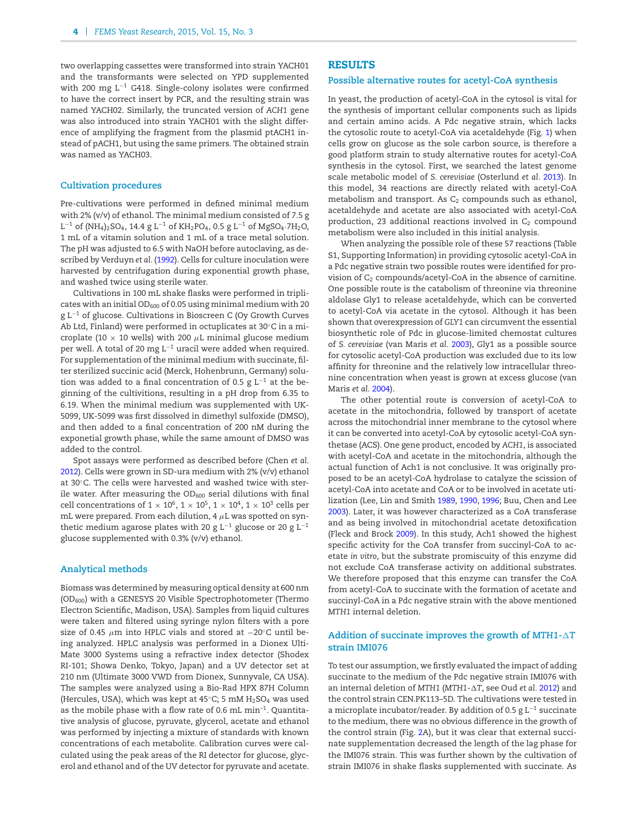two overlapping cassettes were transformed into strain YACH01 and the transformants were selected on YPD supplemented with 200 mg L−<sup>1</sup> G418. Single-colony isolates were confirmed to have the correct insert by PCR, and the resulting strain was named YACH02. Similarly, the truncated version of *ACH1* gene was also introduced into strain YACH01 with the slight difference of amplifying the fragment from the plasmid ptACH1 instead of pACH1, but using the same primers. The obtained strain was named as YACH03.

#### **Cultivation procedures**

Pre-cultivations were performed in defined minimal medium with 2% (v/v) of ethanol. The minimal medium consisted of 7.5 g L<sup>-1</sup> of (NH<sub>4</sub>)<sub>2</sub>SO<sub>4</sub>, 14.4 g L<sup>-1</sup> of KH<sub>2</sub>PO<sub>4</sub>, 0.5 g L<sup>-1</sup> of MgSO<sub>4</sub>·7H<sub>2</sub>O, 1 mL of a vitamin solution and 1 mL of a trace metal solution. The pH was adjusted to 6.5 with NaOH before autoclaving, as described by Verduyn *et al.* [\(1992\)](#page-8-18). Cells for culture inoculation were harvested by centrifugation during exponential growth phase, and washed twice using sterile water.

Cultivations in 100 mL shake flasks were performed in triplicates with an initial OD $_{600}$  of 0.05 using minimal medium with 20 g L<sup>-1</sup> of glucose. Cultivations in Bioscreen C (Oy Growth Curves Ab Ltd, Finland) were performed in octuplicates at 30◦C in a microplate (10  $\times$  10 wells) with 200  $\mu$ L minimal glucose medium per well. A total of 20 mg L−<sup>1</sup> uracil were added when required. For supplementation of the minimal medium with succinate, filter sterilized succinic acid (Merck, Hohenbrunn, Germany) solution was added to a final concentration of 0.5 g  $L^{-1}$  at the beginning of the cultivitions, resulting in a pH drop from 6.35 to 6.19. When the minimal medium was supplemented with UK-5099, UK-5099 was first dissolved in dimethyl sulfoxide (DMSO), and then added to a final concentration of 200 nM during the exponetial growth phase, while the same amount of DMSO was added to the control.

Spot assays were performed as described before (Chen *et al.* [2012\)](#page-7-2). Cells were grown in SD-ura medium with 2% (v/v) ethanol at 30◦C. The cells were harvested and washed twice with sterile water. After measuring the  $OD_{600}$  serial dilutions with final cell concentrations of  $1 \times 10^6$ ,  $1 \times 10^5$ ,  $1 \times 10^4$ ,  $1 \times 10^3$  cells per mL were prepared. From each dilution, 4  $\mu$ L was spotted on synthetic medium agarose plates with 20 g L<sup>-1</sup> glucose or 20 g L<sup>-1</sup> glucose supplemented with 0.3% (v/v) ethanol.

#### **Analytical methods**

Biomass was determined by measuring optical density at 600 nm (OD600) with a GENESYS 20 Visible Spectrophotometer (Thermo Electron Scientific, Madison, USA). Samples from liquid cultures were taken and filtered using syringe nylon filters with a pore size of 0.45  $\mu$ m into HPLC vials and stored at −20°C until being analyzed. HPLC analysis was performed in a Dionex Ulti-Mate 3000 Systems using a refractive index detector (Shodex RI-101; Showa Denko, Tokyo, Japan) and a UV detector set at 210 nm (Ultimate 3000 VWD from Dionex, Sunnyvale, CA USA). The samples were analyzed using a Bio-Rad HPX 87H Column (Hercules, USA), which was kept at  $45^{\circ}$ C; 5 mM  $H_2$ SO<sub>4</sub> was used as the mobile phase with a flow rate of 0.6 mL min<sup>-1</sup>. Quantitative analysis of glucose, pyruvate, glycerol, acetate and ethanol was performed by injecting a mixture of standards with known concentrations of each metabolite. Calibration curves were calculated using the peak areas of the RI detector for glucose, glycerol and ethanol and of the UV detector for pyruvate and acetate.

#### **RESULTS**

#### **Possible alternative routes for acetyl-CoA synthesis**

In yeast, the production of acetyl-CoA in the cytosol is vital for the synthesis of important cellular components such as lipids and certain amino acids. A Pdc negative strain, which lacks the cytosolic route to acetyl-CoA via acetaldehyde (Fig. [1\)](#page-2-0) when cells grow on glucose as the sole carbon source, is therefore a good platform strain to study alternative routes for acetyl-CoA synthesis in the cytosol. First, we searched the latest genome scale metabolic model of *S. cerevisiae* (Osterlund *et al.* [2013\)](#page-8-19). In this model, 34 reactions are directly related with acetyl-CoA metabolism and transport. As  $C_2$  compounds such as ethanol, acetaldehyde and acetate are also associated with acetyl-CoA production, 23 additional reactions involved in  $C_2$  compound metabolism were also included in this initial analysis.

When analyzing the possible role of these 57 reactions (Table S1, Supporting Information) in providing cytosolic acetyl-CoA in a Pdc negative strain two possible routes were identified for provision of  $C_2$  compounds/acetyl-CoA in the absence of carnitine. One possible route is the catabolism of threonine via threonine aldolase Gly1 to release acetaldehyde, which can be converted to acetyl-CoA via acetate in the cytosol. Although it has been shown that overexpression of *GLY1* can circumvent the essential biosynthetic role of Pdc in glucose-limited chemostat cultures of *S. cerevisiae* (van Maris *et al.* [2003\)](#page-8-20), Gly1 as a possible source for cytosolic acetyl-CoA production was excluded due to its low affinity for threonine and the relatively low intracellular threonine concentration when yeast is grown at excess glucose (van Maris *et al.* [2004\)](#page-8-13).

The other potential route is conversion of acetyl-CoA to acetate in the mitochondria, followed by transport of acetate across the mitochondrial inner membrane to the cytosol where it can be converted into acetyl-CoA by cytosolic acetyl-CoA synthetase (ACS). One gene product, encoded by *ACH1*, is associated with acetyl-CoA and acetate in the mitochondria, although the actual function of Ach1 is not conclusive. It was originally proposed to be an acetyl-CoA hydrolase to catalyze the scission of acetyl-CoA into acetate and CoA or to be involved in acetate utilization (Lee, Lin and Smith [1989,](#page-8-21) [1990,](#page-8-22) [1996;](#page-8-23) Buu, Chen and Lee [2003\)](#page-7-3). Later, it was however characterized as a CoA transferase and as being involved in mitochondrial acetate detoxification (Fleck and Brock [2009\)](#page-8-24). In this study, Ach1 showed the highest specific activity for the CoA transfer from succinyl-CoA to acetate *in vitro*, but the substrate promiscuity of this enzyme did not exclude CoA transferase activity on additional substrates. We therefore proposed that this enzyme can transfer the CoA from acetyl-CoA to succinate with the formation of acetate and succinyl-CoA in a Pdc negative strain with the above mentioned *MTH1* internal deletion.

#### **Addition of succinate improves the growth of** *MTH1***-***T* **strain IMI076**

To test our assumption, we firstly evaluated the impact of adding succinate to the medium of the Pdc negative strain IMI076 with an internal deletion of *MTH1* (*MTH1*-*T*, see Oud *et al.* [2012\)](#page-8-14) and the control strain CEN.PK113–5D. The cultivations were tested in a microplate incubator/reader. By addition of 0.5 g L−<sup>1</sup> succinate to the medium, there was no obvious difference in the growth of the control strain (Fig. [2A](#page-5-0)), bu[t](#page-5-1) it was clear that external succinate supplementation decreased the length of the lag phase for the IMI076 strain. This was further shown by the cultivation of strain IMI076 in shake flasks supplemented with succinate. As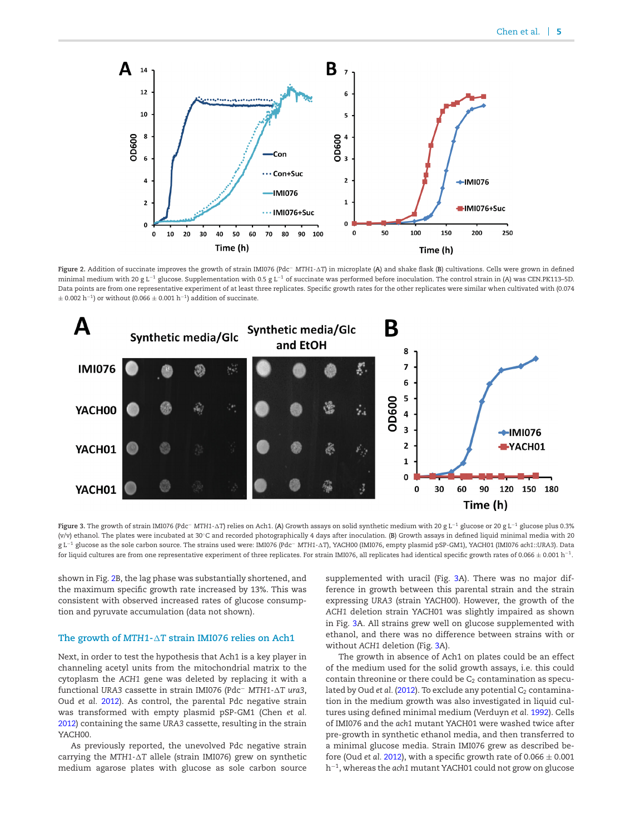<span id="page-5-0"></span>

**Figure 2.** Addition of succinate improves the growth of strain IMI076 (Pdc<sup>−</sup> *MTH1-T*) in microplate (**A**) and shake flask (**B**) cultivations. Cells were grown in defined minimal medium with 20 g L<sup>-1</sup> glucose. Supplementation with 0.5 g L<sup>-1</sup> of succinate was performed before inoculation. The control strain in (A) was CEN.PK113-5D. Data points are from one representative experiment of at least three replicates. Specific growth rates for the other replicates were similar when cultivated with (0.074  $\pm$  0.002 h<sup>-1</sup>) or without (0.066  $\pm$  0.001 h<sup>-1</sup>) addition of succinate.

<span id="page-5-1"></span>

**Figure 3.** The growth of strain IMI076 (Pdc<sup>−</sup> *MTH1-T*) relies on Ach1. (**A**) Growth assays on solid synthetic medium with 20 g L−<sup>1</sup> glucose or 20 g L−<sup>1</sup> glucose plus 0.3% (v/v) ethanol. The plates were incubated at 30◦C and recorded photographically 4 days after inoculation. (**B**) Growth assays in defined liquid minimal media with 20 g L−<sup>1</sup> glucose as the sole carbon source. The strains used were: IMI076 (Pdc<sup>−</sup> *MTH1-T*), YACH00 (IMI076, empty plasmid pSP-GM1), YACH01 (IMI076 *ach1*::*URA3*). Data for liquid cultures are from one representative experiment of three replicates. For strain IMI076, all replicates had identical specific growth rates of 0.066 <sup>±</sup> 0.001 h−1.

shown in Fig. [2B](#page-5-0), the lag phase was substantially shortened, and the maximum specific growth rate increased by 13%. This was consistent with observed increased rates of glucose consumption and pyruvate accumulation (data not shown).

#### **The growth of** *MTH1***-***T* **strain IMI076 relies on Ach1**

Next, in order to test the hypothesis that Ach1 is a key player in channeling acetyl units from the mitochondrial matrix to the cytoplasm the *ACH1* gene was deleted by replacing it with a functional *URA3* cassette in strain IMI076 (Pdc<sup>−</sup> *MTH1-T ura3*, Oud *et al.* [2012\)](#page-8-14). As control, the parental Pdc negative strain was transformed with empty plasmid pSP-GM1 (Chen *et al.* [2012\)](#page-7-2) containing the same *URA3* cassette, resulting in the strain YACH00.

As previously reported, the unevolved Pdc negative strain carrying the *MTH1-T* allele (strain IMI076) grew on synthetic medium agarose plates with glucose as sole carbon source supplemented with uracil (Fig. [3A](#page-5-1)). There was no major difference in growth between this parental strain and the strain expressing *URA3* (strain YACH00). However, the growth of the *ACH1* deletion strain YACH01 was slightly impaired as shown in Fig. [3A](#page-5-1). All strains grew well on glucose supplemented with ethanol, and there was no difference between strains with or without *ACH1* deletion (Fig. [3A](#page-5-1)).

The growth in absence of Ach1 on plates could be an effect of the medium used for the solid growth assays, i.e. this could contain threonine or there could be  $C_2$  contamination as speculated by Oud *et al.* [\(2012\)](#page-8-14). To exclude any potential C<sub>2</sub> contamination in the medium growth was also investigated in liquid cultures using defined minimal medium (Verduyn *et al.* [1992\)](#page-8-18). Cells of IMI076 and the *ach1* mutant YACH01 were washed twice after pre-growth in synthetic ethanol media, and then transferred to a minimal glucose media. Strain IMI076 grew as described before (Oud *et al.* [2012\)](#page-8-14), with a specific growth rate of  $0.066 \pm 0.001$ h−1, whereas the *ach1* mutant YACH01 could not grow on glucose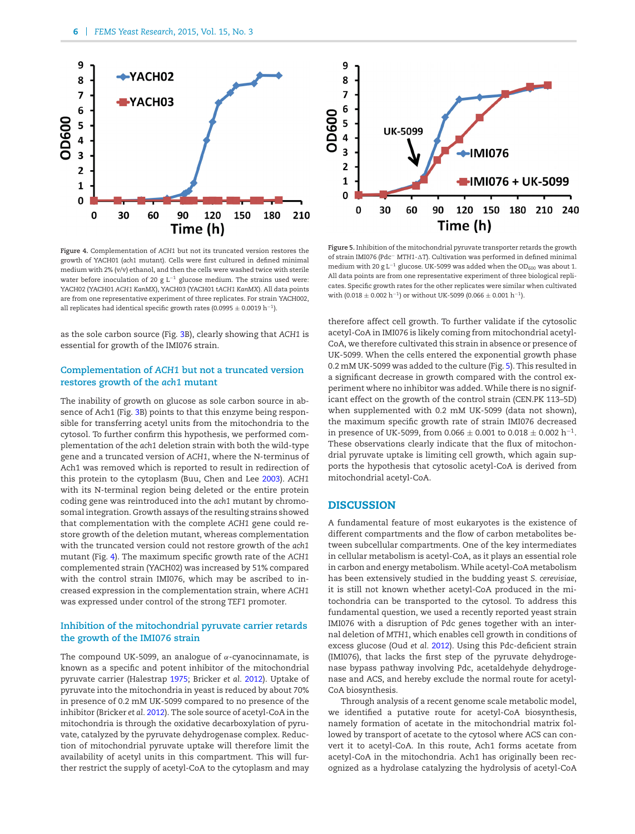<span id="page-6-0"></span>

**Figure 4.** Complementation of *ACH1* but not its truncated version restores the growth of YACH01 (*ach1* mutant). Cells were first cultured in defined minimal medium with 2% (v/v) ethanol, and then the cells were washed twice with sterile water before inoculation of 20 g L<sup>-1</sup> glucose medium. The strains used were: YACH02 (YACH01 *ACH1 KanMX*), YACH03 (YACH01 t*ACH1 KanMX*). All data points are from one representative experiment of three replicates. For strain YACH002, all replicates had identical specific growth rates (0.0995  $\pm$  0.0019 h<sup>-1</sup>).

as the sole carbon source (Fig. [3B](#page-5-1)), clearly showing that *ACH1* is essential for growth of the IMI076 strain.

#### **Complementation of** *ACH1* **but not a truncated version restores growth of the** *ach1* **mutant**

The inability of growth on glucose as sole carbon source in absence of Ach1 (Fig. [3B](#page-5-1)) points to that this enzyme being responsible for transferring acetyl units from the mitochondria to the cytosol. To further confirm this hypothesis, we performed complementation of the *ach1* deletion strain with both the wild-type gene and a truncated version of *ACH1*, where the N-terminus of Ach1 was removed which is reported to result in redirection of this protein to the cytoplasm (Buu, Chen and Lee [2003\)](#page-7-3). *ACH1* with its N-terminal region being deleted or the entire protein coding gene was reintroduced into the *ach1* mutant by chromosomal integration. Growth assays of the resulting strains showed that complementation with the complete *ACH1* gene could restore growth of the deletion mutant, whereas complementation with the truncated version could not restore growth of the *ach1* mutant (Fig. [4\)](#page-6-0). The maximum specific growth rate of the *ACH1* complemented strain (YACH02) was increased by 51% compared with the control strain IMI076, which may be ascribed to increased expression in the complementation strain, where *ACH1* was expressed under control of the strong *TEF1* promoter.

#### **Inhibition of the mitochondrial pyruvate carrier retards the growth of the IMI076 strain**

The compound UK-5099, an analogue of  $\alpha$ -cyanocinnamate, is known as a specific and potent inhibitor of the mitochondrial pyruvate carrier (Halestrap [1975;](#page-8-25) Bricker *et al.* [2012\)](#page-7-4). Uptake of pyruvate into the mitochondria in yeast is reduced by about 70% in presence of 0.2 mM UK-5099 compared to no presence of the inhibitor (Bricker *et al.* [2012\)](#page-7-4). The sole source of acetyl-CoA in the mitochondria is through the oxidative decarboxylation of pyruvate, catalyzed by the pyruvate dehydrogenase complex. Reduction of mitochondrial pyruvate uptake will therefore limit the availability of acetyl units in this compartment. This will further restrict the supply of acetyl-CoA to the cytoplasm and may

<span id="page-6-1"></span>

**Figure 5.** Inhibition of the mitochondrial pyruvate transporter retards the growth of strain IMI076 (Pdc<sup>−</sup> *MTH1-T*). Cultivation was performed in defined minimal medium with 20 g L<sup>-1</sup> glucose. UK-5099 was added when the OD<sub>600</sub> was about 1. All data points are from one representative experiment of three biological replicates. Specific growth rates for the other replicates were similar when cultivated with (0.018  $\pm$  0.002 h<sup>-1</sup>) or without UK-5099 (0.066  $\pm$  0.001 h<sup>-1</sup>).

therefore affect cell growth. To further validate if the cytosolic acetyl-CoA in IMI076 is likely coming from mitochondrial acetyl-CoA, we therefore cultivated this strain in absence or presence of UK-5099. When the cells entered the exponential growth phase 0.2 mM UK-5099 was added to the culture (Fig. [5\)](#page-6-1). This resulted in a significant decrease in growth compared with the control experiment where no inhibitor was added. While there is no significant effect on the growth of the control strain (CEN.PK 113–5D) when supplemented with 0.2 mM UK-5099 (data not shown), the maximum specific growth rate of strain IMI076 decreased in presence of UK-5099, from 0.066  $\pm$  0.001 to 0.018  $\pm$  0.002 h<sup>-1</sup>. These observations clearly indicate that the flux of mitochondrial pyruvate uptake is limiting cell growth, which again supports the hypothesis that cytosolic acetyl-CoA is derived from mitochondrial acetyl-CoA.

#### **DISCUSSION**

A fundamental feature of most eukaryotes is the existence of different compartments and the flow of carbon metabolites between subcellular compartments. One of the key intermediates in cellular metabolism is acetyl-CoA, as it plays an essential role in carbon and energy metabolism. While acetyl-CoA metabolism has been extensively studied in the budding yeast *S. cerevisiae*, it is still not known whether acetyl-CoA produced in the mitochondria can be transported to the cytosol. To address this fundamental question, we used a recently reported yeast strain IMI076 with a disruption of Pdc genes together with an internal deletion of *MTH1*, which enables cell growth in conditions of excess glucose (Oud *et al.* [2012\)](#page-8-14). Using this Pdc-deficient strain (IMI076), that lacks the first step of the pyruvate dehydrogenase bypass pathway involving Pdc, acetaldehyde dehydrogenase and ACS, and hereby exclude the normal route for acetyl-CoA biosynthesis.

Through analysis of a recent genome scale metabolic model, we identified a putative route for acetyl-CoA biosynthesis, namely formation of acetate in the mitochondrial matrix followed by transport of acetate to the cytosol where ACS can convert it to acetyl-CoA. In this route, Ach1 forms acetate from acetyl-CoA in the mitochondria. Ach1 has originally been recognized as a hydrolase catalyzing the hydrolysis of acetyl-CoA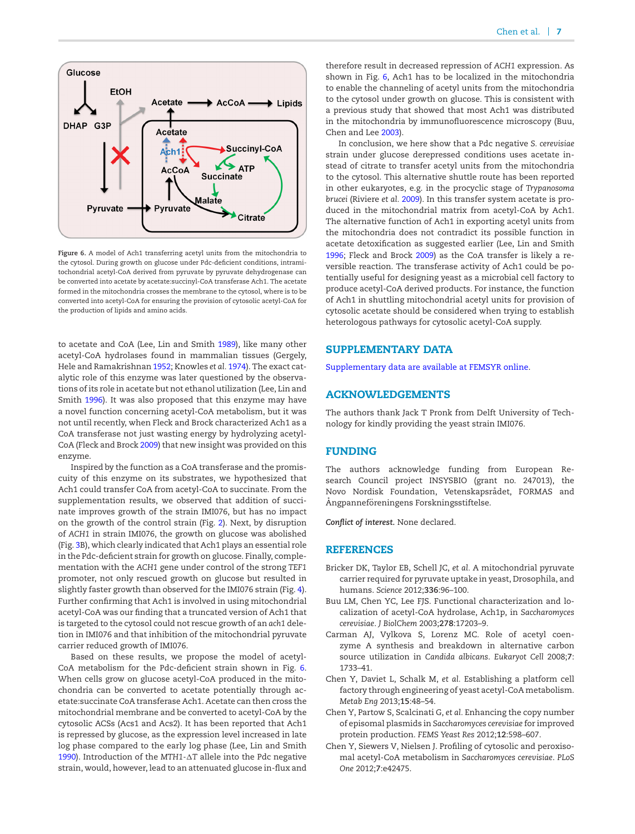<span id="page-7-5"></span>

**Figure 6.** A model of Ach1 transferring acetyl units from the mitochondria to the cytosol. During growth on glucose under Pdc-deficient conditions, intramitochondrial acetyl-CoA derived from pyruvate by pyruvate dehydrogenase can be converted into acetate by acetate:succinyl-CoA transferase Ach1. The acetate formed in the mitochondria crosses the membrane to the cytosol, where is to be converted into acetyl-CoA for ensuring the provision of cytosolic acetyl-CoA for the production of lipids and amino acids.

to acetate and CoA (Lee, Lin and Smith [1989\)](#page-8-21), like many other acetyl-CoA hydrolases found in mammalian tissues (Gergely, Hele and Ramakrishnan [1952;](#page-8-26) Knowles *et al.* [1974\)](#page-8-27). The exact catalytic role of this enzyme was later questioned by the observations of its role in acetate but not ethanol utilization (Lee, Lin and Smith [1996\)](#page-8-23). It was also proposed that this enzyme may have a novel function concerning acetyl-CoA metabolism, but it was not until recently, when Fleck and Brock characterized Ach1 as a CoA transferase not just wasting energy by hydrolyzing acetyl-CoA (Fleck and Brock [2009\)](#page-8-24) that new insight was provided on this enzyme.

Inspired by the function as a CoA transferase and the promiscuity of this enzyme on its substrates, we hypothesized that Ach1 could transfer CoA from acetyl-CoA to succinate. From the supplementation results, we observed that addition of succinate improves growth of the strain IMI076, but has no impact on the growth of the control strain (Fig. [2\)](#page-5-0). Next, by disruption of *ACH1* in strain IMI076, the growth on glucose was abolished (Fig. [3B](#page-5-1)), which clearly indicated that Ach1 plays an essential role in the Pdc-deficient strain for growth on glucose. Finally, complementation with the *ACH1* gene under control of the strong *TEF1* promoter, not only rescued growth on glucose but resulted in slightly faster growth than observed for the IMI076 strain (Fig. [4\)](#page-6-0). Further confirming that Ach1 is involved in using mitochondrial acetyl-CoA was our finding that a truncated version of Ach1 that is targeted to the cytosol could not rescue growth of an *ach1* deletion in IMI076 and that inhibition of the mitochondrial pyruvate carrier reduced growth of IMI076.

Based on these results, we propose the model of acetyl-CoA metabolism for the Pdc-deficient strain shown in Fig. [6.](#page-7-5) When cells grow on glucose acetyl-CoA produced in the mitochondria can be converted to acetate potentially through acetate:succinate CoA transferase Ach1. Acetate can then cross the mitochondrial membrane and be converted to acetyl-CoA by the cytosolic ACSs (Acs1 and Acs2). It has been reported that Ach1 is repressed by glucose, as the expression level increased in late log phase compared to the early log phase (Lee, Lin and Smith [1990\)](#page-8-22). Introduction of the *MTH1-T* allele into the Pdc negative strain, would, however, lead to an attenuated glucose in-flux and therefore result in decreased repression of *ACH1* expression. As shown in Fig. [6,](#page-7-5) Ach1 has to be localized in the mitochondria to enable the channeling of acetyl units from the mitochondria to the cytosol under growth on glucose. This is consistent with a previous study that showed that most Ach1 was distributed in the mitochondria by immunofluorescence microscopy (Buu, Chen and Lee [2003\)](#page-7-3).

In conclusion, we here show that a Pdc negative *S. cerevisiae* strain under glucose derepressed conditions uses acetate instead of citrate to transfer acetyl units from the mitochondria to the cytosol. This alternative shuttle route has been reported in other eukaryotes, e.g. in the procyclic stage of *Trypanosoma brucei* (Riviere *et al.* [2009\)](#page-8-28). In this transfer system acetate is produced in the mitochondrial matrix from acetyl-CoA by Ach1. The alternative function of Ach1 in exporting acetyl units from the mitochondria does not contradict its possible function in acetate detoxification as suggested earlier (Lee, Lin and Smith [1996;](#page-8-23) Fleck and Brock [2009\)](#page-8-24) as the CoA transfer is likely a reversible reaction. The transferase activity of Ach1 could be potentially useful for designing yeast as a microbial cell factory to produce acetyl-CoA derived products. For instance, the function of Ach1 in shuttling mitochondrial acetyl units for provision of cytosolic acetate should be considered when trying to establish heterologous pathways for cytosolic acetyl-CoA supply.

#### **SUPPLEMENTARY DATA**

[Supplementary data are available at FEMSYR online.](http://femspd.oxfordjournals.org/lookup/suppl/doi:10.1093/femspd/fov015/-/DC1)

#### **ACKNOWLEDGEMENTS**

The authors thank Jack T Pronk from Delft University of Technology for kindly providing the yeast strain IMI076.

#### **FUNDING**

The authors acknowledge funding from European Research Council project INSYSBIO (grant no. 247013), the Novo Nordisk Foundation, Vetenskapsrådet, FORMAS and Ångpanneföreningens Forskningsstiftelse.

*Conflict of interest.* None declared.

#### **REFERENCES**

- <span id="page-7-4"></span>Bricker DK, Taylor EB, Schell JC, *et al.* A mitochondrial pyruvate carrier required for pyruvate uptake in yeast, Drosophila, and humans. *Science* 2012;**336**:96–100.
- <span id="page-7-3"></span>Buu LM, Chen YC, Lee FJS. Functional characterization and localization of acetyl-CoA hydrolase, Ach1p, in *Saccharomyces cerevisiae*. *J BiolChem* 2003;**278**:17203–9.
- <span id="page-7-0"></span>Carman AJ, Vylkova S, Lorenz MC. Role of acetyl coenzyme A synthesis and breakdown in alternative carbon source utilization in *Candida albicans*. *Eukaryot Cell* 2008;**7**: 1733–41.
- <span id="page-7-1"></span>Chen Y, Daviet L, Schalk M, *et al.* Establishing a platform cell factory through engineering of yeast acetyl-CoA metabolism. *Metab Eng* 2013;**15**:48–54.
- <span id="page-7-2"></span>Chen Y, Partow S, Scalcinati G, *et al.* Enhancing the copy number of episomal plasmids in *Saccharomyces cerevisiae* for improved protein production. *FEMS Yeast Res* 2012;**12**:598–607.
- Chen Y, Siewers V, Nielsen J. Profiling of cytosolic and peroxisomal acetyl-CoA metabolism in *Saccharomyces cerevisiae*. *PLoS One* 2012;**7**:e42475.